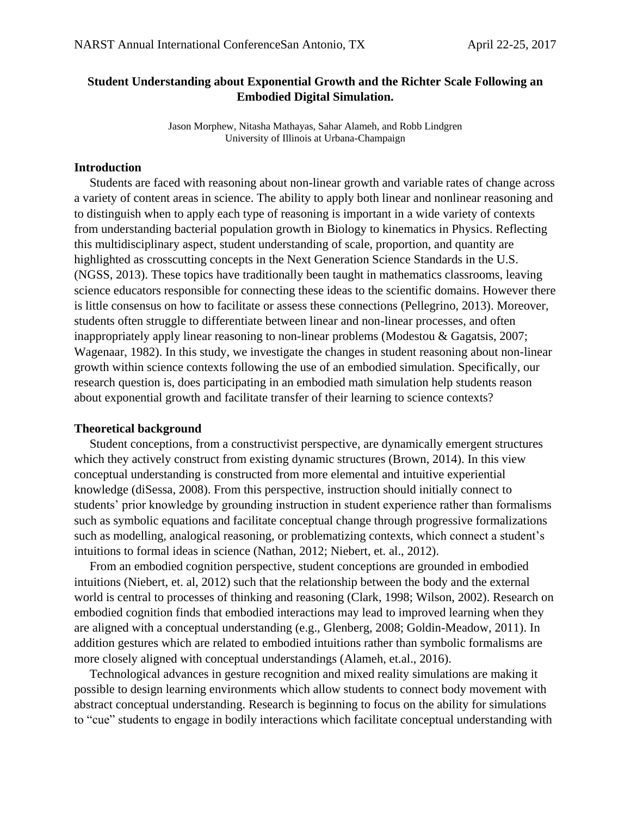# **Student Understanding about Exponential Growth and the Richter Scale Following an Embodied Digital Simulation.**

Jason Morphew, Nitasha Mathayas, Sahar Alameh, and Robb Lindgren University of Illinois at Urbana-Champaign

### **Introduction**

 Students are faced with reasoning about non-linear growth and variable rates of change across a variety of content areas in science. The ability to apply both linear and nonlinear reasoning and to distinguish when to apply each type of reasoning is important in a wide variety of contexts from understanding bacterial population growth in Biology to kinematics in Physics. Reflecting this multidisciplinary aspect, student understanding of scale, proportion, and quantity are highlighted as crosscutting concepts in the Next Generation Science Standards in the U.S. (NGSS, 2013). These topics have traditionally been taught in mathematics classrooms, leaving science educators responsible for connecting these ideas to the scientific domains. However there is little consensus on how to facilitate or assess these connections (Pellegrino, 2013). Moreover, students often struggle to differentiate between linear and non-linear processes, and often inappropriately apply linear reasoning to non-linear problems (Modestou & Gagatsis, 2007; Wagenaar, 1982). In this study, we investigate the changes in student reasoning about non-linear growth within science contexts following the use of an embodied simulation. Specifically, our research question is, does participating in an embodied math simulation help students reason about exponential growth and facilitate transfer of their learning to science contexts?

#### **Theoretical background**

 Student conceptions, from a constructivist perspective, are dynamically emergent structures which they actively construct from existing dynamic structures (Brown, 2014). In this view conceptual understanding is constructed from more elemental and intuitive experiential knowledge (diSessa, 2008). From this perspective, instruction should initially connect to students' prior knowledge by grounding instruction in student experience rather than formalisms such as symbolic equations and facilitate conceptual change through progressive formalizations such as modelling, analogical reasoning, or problematizing contexts, which connect a student's intuitions to formal ideas in science (Nathan, 2012; Niebert, et. al., 2012).

 From an embodied cognition perspective, student conceptions are grounded in embodied intuitions (Niebert, et. al, 2012) such that the relationship between the body and the external world is central to processes of thinking and reasoning (Clark, 1998; Wilson, 2002). Research on embodied cognition finds that embodied interactions may lead to improved learning when they are aligned with a conceptual understanding (e.g., Glenberg, 2008; Goldin-Meadow, 2011). In addition gestures which are related to embodied intuitions rather than symbolic formalisms are more closely aligned with conceptual understandings (Alameh, et.al., 2016).

 Technological advances in gesture recognition and mixed reality simulations are making it possible to design learning environments which allow students to connect body movement with abstract conceptual understanding. Research is beginning to focus on the ability for simulations to "cue" students to engage in bodily interactions which facilitate conceptual understanding with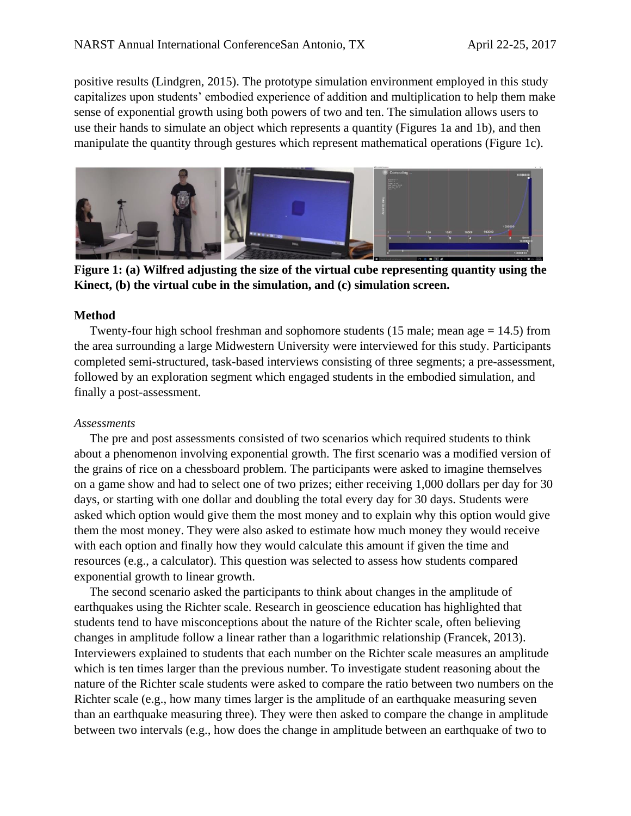positive results (Lindgren, 2015). The prototype simulation environment employed in this study capitalizes upon students' embodied experience of addition and multiplication to help them make sense of exponential growth using both powers of two and ten. The simulation allows users to use their hands to simulate an object which represents a quantity (Figures 1a and 1b), and then manipulate the quantity through gestures which represent mathematical operations (Figure 1c).



**Figure 1: (a) Wilfred adjusting the size of the virtual cube representing quantity using the Kinect, (b) the virtual cube in the simulation, and (c) simulation screen.**

## **Method**

Twenty-four high school freshman and sophomore students (15 male; mean age  $= 14.5$ ) from the area surrounding a large Midwestern University were interviewed for this study. Participants completed semi-structured, task-based interviews consisting of three segments; a pre-assessment, followed by an exploration segment which engaged students in the embodied simulation, and finally a post-assessment.

# *Assessments*

 The pre and post assessments consisted of two scenarios which required students to think about a phenomenon involving exponential growth. The first scenario was a modified version of the grains of rice on a chessboard problem. The participants were asked to imagine themselves on a game show and had to select one of two prizes; either receiving 1,000 dollars per day for 30 days, or starting with one dollar and doubling the total every day for 30 days. Students were asked which option would give them the most money and to explain why this option would give them the most money. They were also asked to estimate how much money they would receive with each option and finally how they would calculate this amount if given the time and resources (e.g., a calculator). This question was selected to assess how students compared exponential growth to linear growth.

 The second scenario asked the participants to think about changes in the amplitude of earthquakes using the Richter scale. Research in geoscience education has highlighted that students tend to have misconceptions about the nature of the Richter scale, often believing changes in amplitude follow a linear rather than a logarithmic relationship (Francek, 2013). Interviewers explained to students that each number on the Richter scale measures an amplitude which is ten times larger than the previous number. To investigate student reasoning about the nature of the Richter scale students were asked to compare the ratio between two numbers on the Richter scale (e.g., how many times larger is the amplitude of an earthquake measuring seven than an earthquake measuring three). They were then asked to compare the change in amplitude between two intervals (e.g., how does the change in amplitude between an earthquake of two to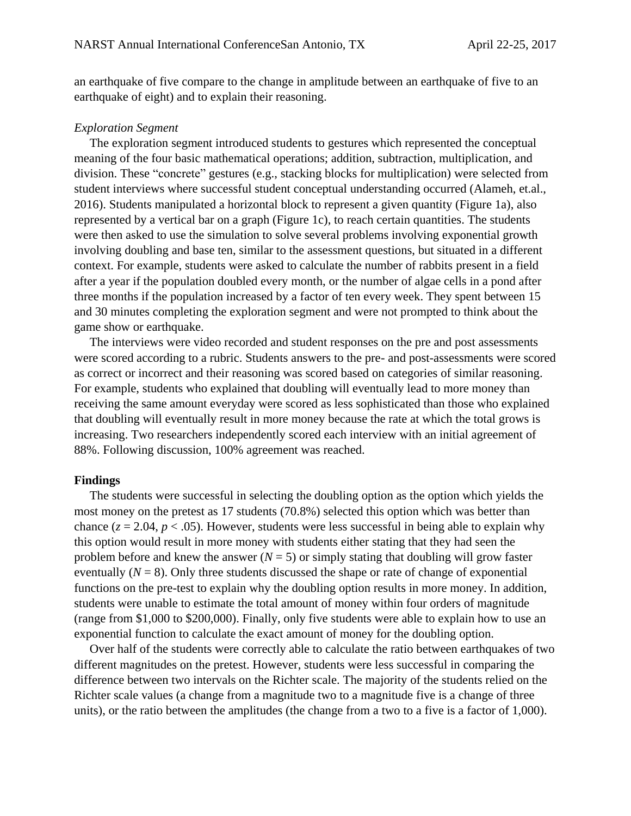an earthquake of five compare to the change in amplitude between an earthquake of five to an earthquake of eight) and to explain their reasoning.

### *Exploration Segment*

 The exploration segment introduced students to gestures which represented the conceptual meaning of the four basic mathematical operations; addition, subtraction, multiplication, and division. These "concrete" gestures (e.g., stacking blocks for multiplication) were selected from student interviews where successful student conceptual understanding occurred (Alameh, et.al., 2016). Students manipulated a horizontal block to represent a given quantity (Figure 1a), also represented by a vertical bar on a graph (Figure 1c), to reach certain quantities. The students were then asked to use the simulation to solve several problems involving exponential growth involving doubling and base ten, similar to the assessment questions, but situated in a different context. For example, students were asked to calculate the number of rabbits present in a field after a year if the population doubled every month, or the number of algae cells in a pond after three months if the population increased by a factor of ten every week. They spent between 15 and 30 minutes completing the exploration segment and were not prompted to think about the game show or earthquake.

 The interviews were video recorded and student responses on the pre and post assessments were scored according to a rubric. Students answers to the pre- and post-assessments were scored as correct or incorrect and their reasoning was scored based on categories of similar reasoning. For example, students who explained that doubling will eventually lead to more money than receiving the same amount everyday were scored as less sophisticated than those who explained that doubling will eventually result in more money because the rate at which the total grows is increasing. Two researchers independently scored each interview with an initial agreement of 88%. Following discussion, 100% agreement was reached.

### **Findings**

 The students were successful in selecting the doubling option as the option which yields the most money on the pretest as 17 students (70.8%) selected this option which was better than chance ( $z = 2.04$ ,  $p < .05$ ). However, students were less successful in being able to explain why this option would result in more money with students either stating that they had seen the problem before and knew the answer  $(N = 5)$  or simply stating that doubling will grow faster eventually  $(N = 8)$ . Only three students discussed the shape or rate of change of exponential functions on the pre-test to explain why the doubling option results in more money. In addition, students were unable to estimate the total amount of money within four orders of magnitude (range from \$1,000 to \$200,000). Finally, only five students were able to explain how to use an exponential function to calculate the exact amount of money for the doubling option.

 Over half of the students were correctly able to calculate the ratio between earthquakes of two different magnitudes on the pretest. However, students were less successful in comparing the difference between two intervals on the Richter scale. The majority of the students relied on the Richter scale values (a change from a magnitude two to a magnitude five is a change of three units), or the ratio between the amplitudes (the change from a two to a five is a factor of 1,000).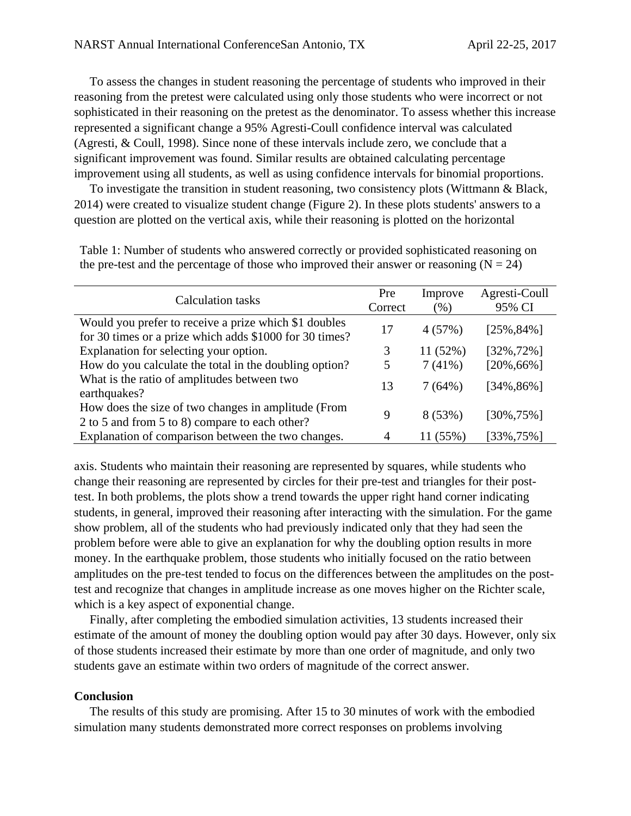To assess the changes in student reasoning the percentage of students who improved in their reasoning from the pretest were calculated using only those students who were incorrect or not sophisticated in their reasoning on the pretest as the denominator. To assess whether this increase represented a significant change a 95% Agresti-Coull confidence interval was calculated (Agresti, & Coull, 1998). Since none of these intervals include zero, we conclude that a significant improvement was found. Similar results are obtained calculating percentage improvement using all students, as well as using confidence intervals for binomial proportions.

 To investigate the transition in student reasoning, two consistency plots (Wittmann & Black, 2014) were created to visualize student change (Figure 2). In these plots students' answers to a question are plotted on the vertical axis, while their reasoning is plotted on the horizontal

Table 1: Number of students who answered correctly or provided sophisticated reasoning on the pre-test and the percentage of those who improved their answer or reasoning  $(N = 24)$ 

| <b>Calculation tasks</b>                                | Pre            | Improve  | Agresti-Coull  |
|---------------------------------------------------------|----------------|----------|----------------|
|                                                         | Correct        | (% )     | 95% CI         |
| Would you prefer to receive a prize which \$1 doubles   | 17             | 4(57%)   | $[25\%, 84\%]$ |
| for 30 times or a prize which adds \$1000 for 30 times? |                |          |                |
| Explanation for selecting your option.                  | 3              | 11(52%)  | $[32\%, 72\%]$ |
| How do you calculate the total in the doubling option?  | 5              | 7(41%)   | $[20\%, 66\%]$ |
| What is the ratio of amplitudes between two             | 13             | 7(64%)   | $[34\%, 86\%]$ |
| earthquakes?                                            |                |          |                |
| How does the size of two changes in amplitude (From     | 9              |          |                |
| 2 to 5 and from 5 to 8) compare to each other?          |                | 8(53%)   | $[30\%, 75\%]$ |
| Explanation of comparison between the two changes.      | $\overline{4}$ | 11 (55%) | $[33\%, 75\%]$ |

axis. Students who maintain their reasoning are represented by squares, while students who change their reasoning are represented by circles for their pre-test and triangles for their posttest. In both problems, the plots show a trend towards the upper right hand corner indicating students, in general, improved their reasoning after interacting with the simulation. For the game show problem, all of the students who had previously indicated only that they had seen the problem before were able to give an explanation for why the doubling option results in more money. In the earthquake problem, those students who initially focused on the ratio between amplitudes on the pre-test tended to focus on the differences between the amplitudes on the posttest and recognize that changes in amplitude increase as one moves higher on the Richter scale, which is a key aspect of exponential change.

 Finally, after completing the embodied simulation activities, 13 students increased their estimate of the amount of money the doubling option would pay after 30 days. However, only six of those students increased their estimate by more than one order of magnitude, and only two students gave an estimate within two orders of magnitude of the correct answer.

### **Conclusion**

 The results of this study are promising. After 15 to 30 minutes of work with the embodied simulation many students demonstrated more correct responses on problems involving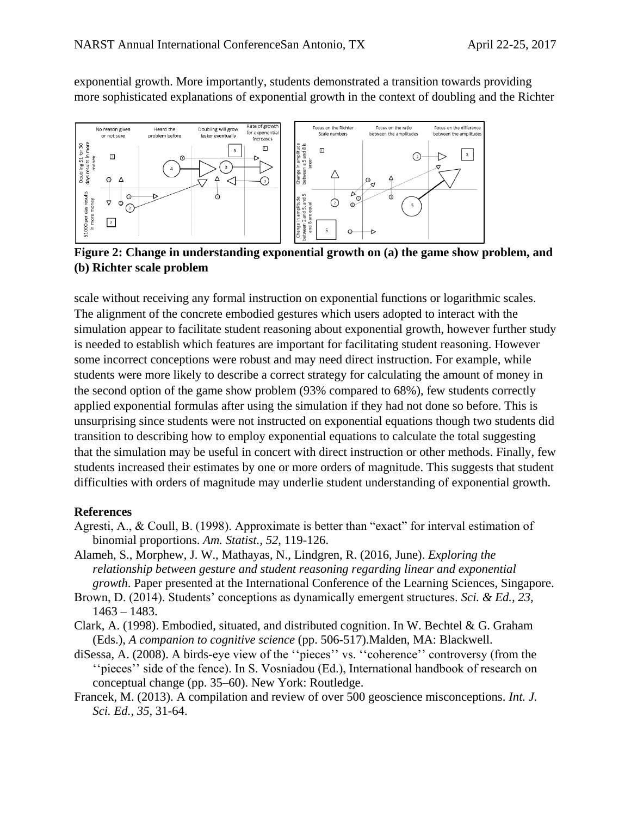exponential growth. More importantly, students demonstrated a transition towards providing more sophisticated explanations of exponential growth in the context of doubling and the Richter



**Figure 2: Change in understanding exponential growth on (a) the game show problem, and (b) Richter scale problem**

scale without receiving any formal instruction on exponential functions or logarithmic scales. The alignment of the concrete embodied gestures which users adopted to interact with the simulation appear to facilitate student reasoning about exponential growth, however further study is needed to establish which features are important for facilitating student reasoning. However some incorrect conceptions were robust and may need direct instruction. For example, while students were more likely to describe a correct strategy for calculating the amount of money in the second option of the game show problem (93% compared to 68%), few students correctly applied exponential formulas after using the simulation if they had not done so before. This is unsurprising since students were not instructed on exponential equations though two students did transition to describing how to employ exponential equations to calculate the total suggesting that the simulation may be useful in concert with direct instruction or other methods. Finally, few students increased their estimates by one or more orders of magnitude. This suggests that student difficulties with orders of magnitude may underlie student understanding of exponential growth.

## **References**

- Agresti, A., & Coull, B. (1998). Approximate is better than "exact" for interval estimation of binomial proportions. *Am. Statist., 52*, 119-126.
- Alameh, S., Morphew, J. W., Mathayas, N., Lindgren, R. (2016, June). *Exploring the relationship between gesture and student reasoning regarding linear and exponential growth*. Paper presented at the International Conference of the Learning Sciences, Singapore.
- Brown, D. (2014). Students' conceptions as dynamically emergent structures. *Sci. & Ed., 23,*  1463 – 1483.
- Clark, A. (1998). Embodied, situated, and distributed cognition. In W. Bechtel & G. Graham (Eds.), *A companion to cognitive science* (pp. 506-517).Malden, MA: Blackwell.
- diSessa, A. (2008). A birds-eye view of the ''pieces'' vs. ''coherence'' controversy (from the "pieces" side of the fence). In S. Vosniadou (Ed.), International handbook of research on conceptual change (pp. 35–60). New York: Routledge.
- Francek, M. (2013). A compilation and review of over 500 geoscience misconceptions. *Int. J. Sci. Ed., 35*, 31-64.